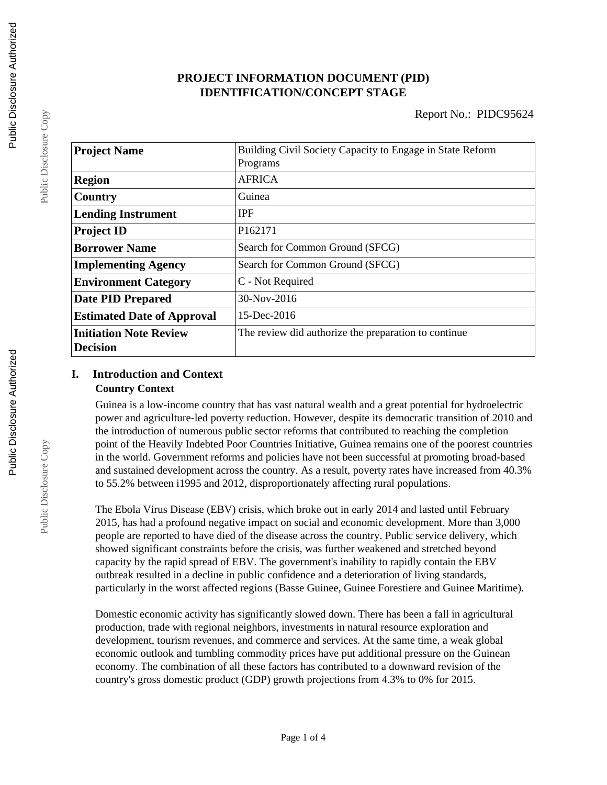# **PROJECT INFORMATION DOCUMENT (PID) IDENTIFICATION/CONCEPT STAGE**

| <b>Project Name</b>               | Building Civil Society Capacity to Engage in State Reform |
|-----------------------------------|-----------------------------------------------------------|
|                                   | Programs                                                  |
| <b>Region</b>                     | <b>AFRICA</b>                                             |
| Country                           | Guinea                                                    |
| <b>Lending Instrument</b>         | <b>IPF</b>                                                |
| <b>Project ID</b>                 | P <sub>162171</sub>                                       |
| <b>Borrower Name</b>              | Search for Common Ground (SFCG)                           |
| <b>Implementing Agency</b>        | Search for Common Ground (SFCG)                           |
| <b>Environment Category</b>       | C - Not Required                                          |
| <b>Date PID Prepared</b>          | $30-Nov-2016$                                             |
| <b>Estimated Date of Approval</b> | 15-Dec-2016                                               |
| <b>Initiation Note Review</b>     | The review did authorize the preparation to continue      |
| <b>Decision</b>                   |                                                           |

## **I. Introduction and Context Country Context**

Guinea is a low-income country that has vast natural wealth and a great potential for hydroelectric power and agriculture-led poverty reduction. However, despite its democratic transition of 2010 and the introduction of numerous public sector reforms that contributed to reaching the completion point of the Heavily Indebted Poor Countries Initiative, Guinea remains one of the poorest countries in the world. Government reforms and policies have not been successful at promoting broad-based and sustained development across the country. As a result, poverty rates have increased from 40.3% to 55.2% between i1995 and 2012, disproportionately affecting rural populations.

The Ebola Virus Disease (EBV) crisis, which broke out in early 2014 and lasted until February 2015, has had a profound negative impact on social and economic development. More than 3,000 people are reported to have died of the disease across the country. Public service delivery, which showed significant constraints before the crisis, was further weakened and stretched beyond capacity by the rapid spread of EBV. The government's inability to rapidly contain the EBV outbreak resulted in a decline in public confidence and a deterioration of living standards, particularly in the worst affected regions (Basse Guinee, Guinee Forestiere and Guinee Maritime).

Domestic economic activity has significantly slowed down. There has been a fall in agricultural production, trade with regional neighbors, investments in natural resource exploration and development, tourism revenues, and commerce and services. At the same time, a weak global economic outlook and tumbling commodity prices have put additional pressure on the Guinean economy. The combination of all these factors has contributed to a downward revision of the country's gross domestic product (GDP) growth projections from 4.3% to 0% for 2015.

Public Disclosure Copy

Public Disclosure Copy

Public Disclosure Copy

Public Disclosure Copy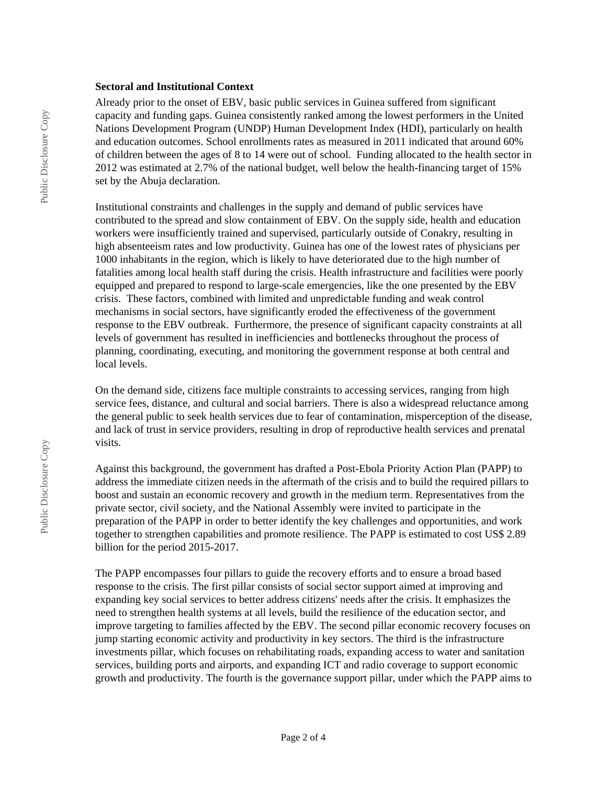#### **Sectoral and Institutional Context**

Already prior to the onset of EBV, basic public services in Guinea suffered from significant capacity and funding gaps. Guinea consistently ranked among the lowest performers in the United Nations Development Program (UNDP) Human Development Index (HDI), particularly on health and education outcomes. School enrollments rates as measured in 2011 indicated that around 60% of children between the ages of 8 to 14 were out of school. Funding allocated to the health sector in 2012 was estimated at 2.7% of the national budget, well below the health-financing target of 15% set by the Abuja declaration.

Institutional constraints and challenges in the supply and demand of public services have contributed to the spread and slow containment of EBV. On the supply side, health and education workers were insufficiently trained and supervised, particularly outside of Conakry, resulting in high absenteeism rates and low productivity. Guinea has one of the lowest rates of physicians per 1000 inhabitants in the region, which is likely to have deteriorated due to the high number of fatalities among local health staff during the crisis. Health infrastructure and facilities were poorly equipped and prepared to respond to large-scale emergencies, like the one presented by the EBV crisis. These factors, combined with limited and unpredictable funding and weak control mechanisms in social sectors, have significantly eroded the effectiveness of the government response to the EBV outbreak. Furthermore, the presence of significant capacity constraints at all levels of government has resulted in inefficiencies and bottlenecks throughout the process of planning, coordinating, executing, and monitoring the government response at both central and local levels.

On the demand side, citizens face multiple constraints to accessing services, ranging from high service fees, distance, and cultural and social barriers. There is also a widespread reluctance among the general public to seek health services due to fear of contamination, misperception of the disease, and lack of trust in service providers, resulting in drop of reproductive health services and prenatal visits.

Against this background, the government has drafted a Post-Ebola Priority Action Plan (PAPP) to address the immediate citizen needs in the aftermath of the crisis and to build the required pillars to boost and sustain an economic recovery and growth in the medium term. Representatives from the private sector, civil society, and the National Assembly were invited to participate in the preparation of the PAPP in order to better identify the key challenges and opportunities, and work together to strengthen capabilities and promote resilience. The PAPP is estimated to cost US\$ 2.89 billion for the period 2015-2017.

The PAPP encompasses four pillars to guide the recovery efforts and to ensure a broad based response to the crisis. The first pillar consists of social sector support aimed at improving and expanding key social services to better address citizens' needs after the crisis. It emphasizes the need to strengthen health systems at all levels, build the resilience of the education sector, and improve targeting to families affected by the EBV. The second pillar economic recovery focuses on jump starting economic activity and productivity in key sectors. The third is the infrastructure investments pillar, which focuses on rehabilitating roads, expanding access to water and sanitation services, building ports and airports, and expanding ICT and radio coverage to support economic growth and productivity. The fourth is the governance support pillar, under which the PAPP aims to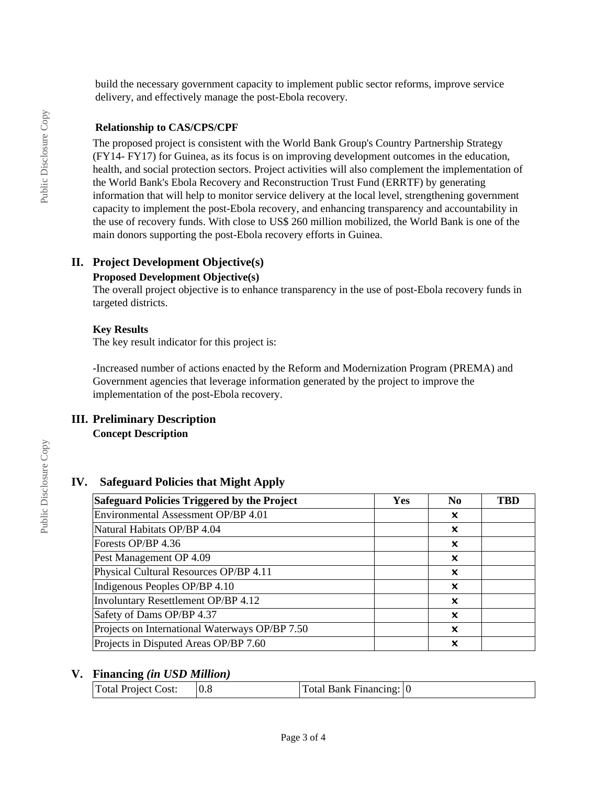build the necessary government capacity to implement public sector reforms, improve service delivery, and effectively manage the post-Ebola recovery.

#### **Relationship to CAS/CPS/CPF**

The proposed project is consistent with the World Bank Group's Country Partnership Strategy (FY14- FY17) for Guinea, as its focus is on improving development outcomes in the education, health, and social protection sectors. Project activities will also complement the implementation of the World Bank's Ebola Recovery and Reconstruction Trust Fund (ERRTF) by generating information that will help to monitor service delivery at the local level, strengthening government capacity to implement the post-Ebola recovery, and enhancing transparency and accountability in the use of recovery funds. With close to US\$ 260 million mobilized, the World Bank is one of the main donors supporting the post-Ebola recovery efforts in Guinea.

### **II. Project Development Objective(s)**

### **Proposed Development Objective(s)**

The overall project objective is to enhance transparency in the use of post-Ebola recovery funds in targeted districts.

#### **Key Results**

The key result indicator for this project is:

-Increased number of actions enacted by the Reform and Modernization Program (PREMA) and Government agencies that leverage information generated by the project to improve the implementation of the post-Ebola recovery.

### **III. Preliminary Description**

**Concept Description**

### **IV. Safeguard Policies that Might Apply**

| Safeguard Policies Triggered by the Project    | <b>Yes</b> | N <sub>0</sub> | <b>TBD</b> |
|------------------------------------------------|------------|----------------|------------|
| Environmental Assessment OP/BP 4.01            |            | x              |            |
| Natural Habitats OP/BP 4.04                    |            | x              |            |
| Forests OP/BP 4.36                             |            | x              |            |
| Pest Management OP 4.09                        |            | x              |            |
| Physical Cultural Resources OP/BP 4.11         |            | x              |            |
| Indigenous Peoples OP/BP 4.10                  |            | x              |            |
| Involuntary Resettlement OP/BP 4.12            |            | ×              |            |
| Safety of Dams OP/BP 4.37                      |            | X              |            |
| Projects on International Waterways OP/BP 7.50 |            | X              |            |
| Projects in Disputed Areas OP/BP 7.60          |            | x              |            |

### **V. Financing** *(in USD Million)*

| $\vert$ Total Project Cost: $\vert$ 0.8 |  | $\text{Total Bank Financial}$ (0 |  |
|-----------------------------------------|--|----------------------------------|--|
|-----------------------------------------|--|----------------------------------|--|